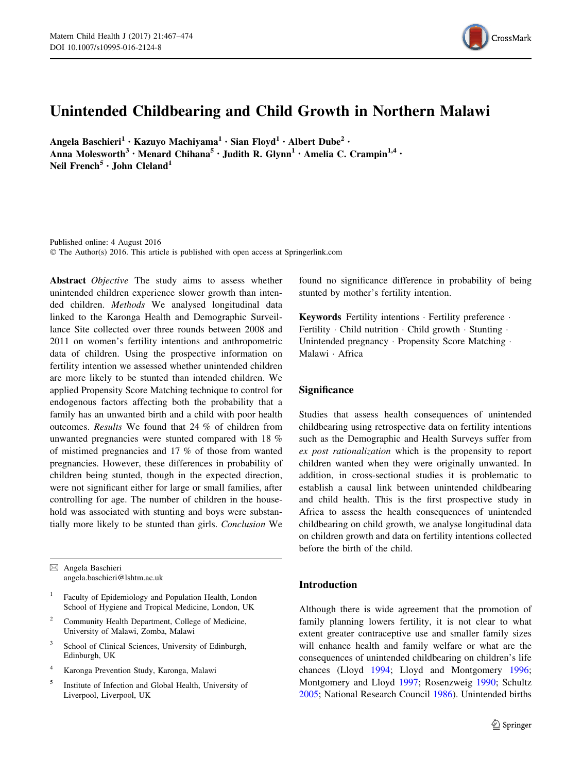

# Unintended Childbearing and Child Growth in Northern Malawi

Angela Baschieri<sup>1</sup> · Kazuyo Machiyama<sup>1</sup> · Sian Floyd<sup>1</sup> · Albert Dube<sup>2</sup> · Anna Molesworth<sup>3</sup> • Menard Chihana<sup>5</sup> • Judith R. Glynn<sup>1</sup> • Amelia C. Crampin<sup>1,4</sup> • Neil French<sup>5</sup> · John Cleland<sup>1</sup>

Published online: 4 August 2016 © The Author(s) 2016. This article is published with open access at Springerlink.com

Abstract *Objective* The study aims to assess whether unintended children experience slower growth than intended children. Methods We analysed longitudinal data linked to the Karonga Health and Demographic Surveillance Site collected over three rounds between 2008 and 2011 on women's fertility intentions and anthropometric data of children. Using the prospective information on fertility intention we assessed whether unintended children are more likely to be stunted than intended children. We applied Propensity Score Matching technique to control for endogenous factors affecting both the probability that a family has an unwanted birth and a child with poor health outcomes. Results We found that 24 % of children from unwanted pregnancies were stunted compared with 18 % of mistimed pregnancies and 17 % of those from wanted pregnancies. However, these differences in probability of children being stunted, though in the expected direction, were not significant either for large or small families, after controlling for age. The number of children in the household was associated with stunting and boys were substantially more likely to be stunted than girls. Conclusion We

& Angela Baschieri angela.baschieri@lshtm.ac.uk

- <sup>1</sup> Faculty of Epidemiology and Population Health, London School of Hygiene and Tropical Medicine, London, UK
- <sup>2</sup> Community Health Department, College of Medicine, University of Malawi, Zomba, Malawi
- School of Clinical Sciences, University of Edinburgh, Edinburgh, UK
- <sup>4</sup> Karonga Prevention Study, Karonga, Malawi
- <sup>5</sup> Institute of Infection and Global Health, University of Liverpool, Liverpool, UK

found no significance difference in probability of being stunted by mother's fertility intention.

Keywords Fertility intentions · Fertility preference · Fertility · Child nutrition · Child growth · Stunting · Unintended pregnancy · Propensity Score Matching · Malawi - Africa

## **Significance**

Studies that assess health consequences of unintended childbearing using retrospective data on fertility intentions such as the Demographic and Health Surveys suffer from ex post rationalization which is the propensity to report children wanted when they were originally unwanted. In addition, in cross-sectional studies it is problematic to establish a causal link between unintended childbearing and child health. This is the first prospective study in Africa to assess the health consequences of unintended childbearing on child growth, we analyse longitudinal data on children growth and data on fertility intentions collected before the birth of the child.

### Introduction

Although there is wide agreement that the promotion of family planning lowers fertility, it is not clear to what extent greater contraceptive use and smaller family sizes will enhance health and family welfare or what are the consequences of unintended childbearing on children's life chances (Lloyd [1994](#page-7-0); Lloyd and Montgomery [1996](#page-7-0); Montgomery and Lloyd [1997](#page-7-0); Rosenzweig [1990;](#page-7-0) Schultz [2005](#page-7-0); National Research Council [1986](#page-7-0)). Unintended births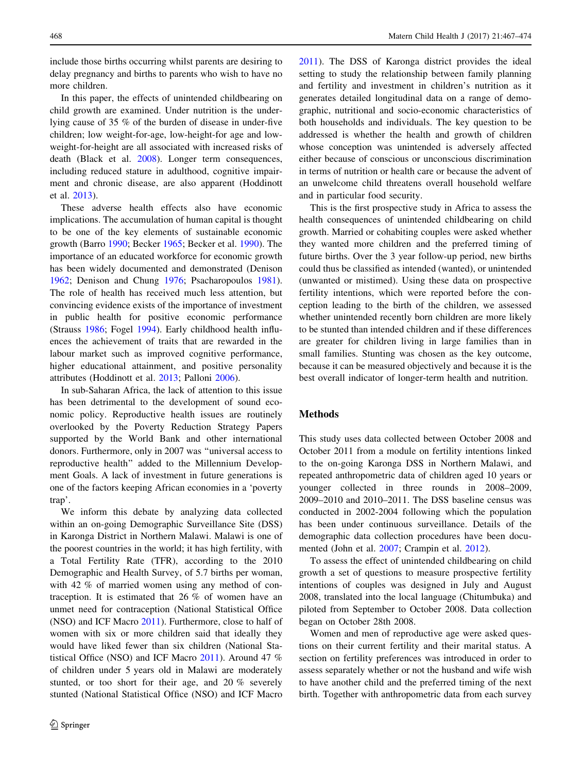include those births occurring whilst parents are desiring to delay pregnancy and births to parents who wish to have no more children.

In this paper, the effects of unintended childbearing on child growth are examined. Under nutrition is the underlying cause of 35 % of the burden of disease in under-five children; low weight-for-age, low-height-for age and lowweight-for-height are all associated with increased risks of death (Black et al. [2008](#page-7-0)). Longer term consequences, including reduced stature in adulthood, cognitive impairment and chronic disease, are also apparent (Hoddinott et al. [2013\)](#page-7-0).

These adverse health effects also have economic implications. The accumulation of human capital is thought to be one of the key elements of sustainable economic growth (Barro [1990](#page-6-0); Becker [1965;](#page-6-0) Becker et al. [1990](#page-6-0)). The importance of an educated workforce for economic growth has been widely documented and demonstrated (Denison [1962;](#page-7-0) Denison and Chung [1976;](#page-7-0) Psacharopoulos [1981](#page-7-0)). The role of health has received much less attention, but convincing evidence exists of the importance of investment in public health for positive economic performance (Strauss [1986;](#page-7-0) Fogel [1994](#page-7-0)). Early childhood health influences the achievement of traits that are rewarded in the labour market such as improved cognitive performance, higher educational attainment, and positive personality attributes (Hoddinott et al. [2013;](#page-7-0) Palloni [2006](#page-7-0)).

In sub-Saharan Africa, the lack of attention to this issue has been detrimental to the development of sound economic policy. Reproductive health issues are routinely overlooked by the Poverty Reduction Strategy Papers supported by the World Bank and other international donors. Furthermore, only in 2007 was ''universal access to reproductive health'' added to the Millennium Development Goals. A lack of investment in future generations is one of the factors keeping African economies in a 'poverty trap'.

We inform this debate by analyzing data collected within an on-going Demographic Surveillance Site (DSS) in Karonga District in Northern Malawi. Malawi is one of the poorest countries in the world; it has high fertility, with a Total Fertility Rate (TFR), according to the 2010 Demographic and Health Survey, of 5.7 births per woman, with 42 % of married women using any method of contraception. It is estimated that 26 % of women have an unmet need for contraception (National Statistical Office (NSO) and ICF Macro [2011\)](#page-7-0). Furthermore, close to half of women with six or more children said that ideally they would have liked fewer than six children (National Statistical Office (NSO) and ICF Macro [2011\)](#page-7-0). Around 47 % of children under 5 years old in Malawi are moderately stunted, or too short for their age, and 20 % severely stunted (National Statistical Office (NSO) and ICF Macro

[2011](#page-7-0)). The DSS of Karonga district provides the ideal setting to study the relationship between family planning and fertility and investment in children's nutrition as it generates detailed longitudinal data on a range of demographic, nutritional and socio-economic characteristics of both households and individuals. The key question to be addressed is whether the health and growth of children whose conception was unintended is adversely affected either because of conscious or unconscious discrimination in terms of nutrition or health care or because the advent of an unwelcome child threatens overall household welfare and in particular food security.

This is the first prospective study in Africa to assess the health consequences of unintended childbearing on child growth. Married or cohabiting couples were asked whether they wanted more children and the preferred timing of future births. Over the 3 year follow-up period, new births could thus be classified as intended (wanted), or unintended (unwanted or mistimed). Using these data on prospective fertility intentions, which were reported before the conception leading to the birth of the children, we assessed whether unintended recently born children are more likely to be stunted than intended children and if these differences are greater for children living in large families than in small families. Stunting was chosen as the key outcome, because it can be measured objectively and because it is the best overall indicator of longer-term health and nutrition.

#### Methods

This study uses data collected between October 2008 and October 2011 from a module on fertility intentions linked to the on-going Karonga DSS in Northern Malawi, and repeated anthropometric data of children aged 10 years or younger collected in three rounds in 2008–2009, 2009–2010 and 2010–2011. The DSS baseline census was conducted in 2002-2004 following which the population has been under continuous surveillance. Details of the demographic data collection procedures have been documented (John et al. [2007](#page-7-0); Crampin et al. [2012](#page-7-0)).

To assess the effect of unintended childbearing on child growth a set of questions to measure prospective fertility intentions of couples was designed in July and August 2008, translated into the local language (Chitumbuka) and piloted from September to October 2008. Data collection began on October 28th 2008.

Women and men of reproductive age were asked questions on their current fertility and their marital status. A section on fertility preferences was introduced in order to assess separately whether or not the husband and wife wish to have another child and the preferred timing of the next birth. Together with anthropometric data from each survey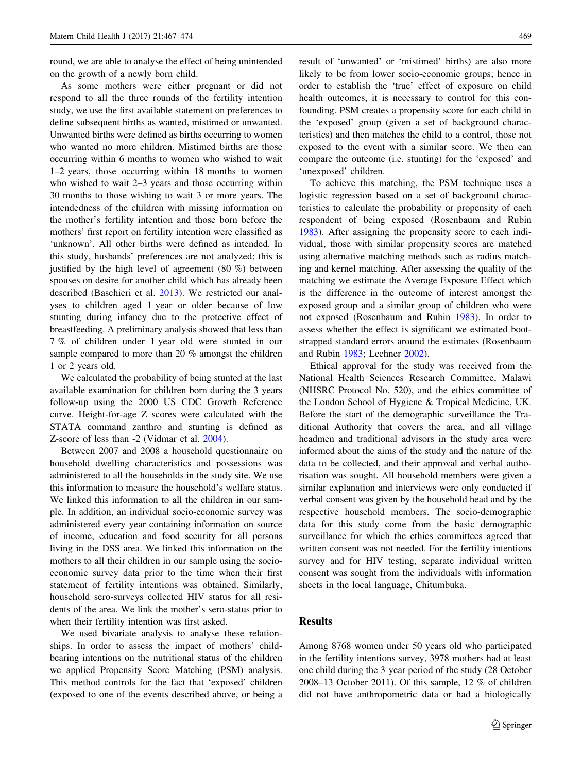round, we are able to analyse the effect of being unintended on the growth of a newly born child.

As some mothers were either pregnant or did not respond to all the three rounds of the fertility intention study, we use the first available statement on preferences to define subsequent births as wanted, mistimed or unwanted. Unwanted births were defined as births occurring to women who wanted no more children. Mistimed births are those occurring within 6 months to women who wished to wait 1–2 years, those occurring within 18 months to women who wished to wait 2–3 years and those occurring within 30 months to those wishing to wait 3 or more years. The intendedness of the children with missing information on the mother's fertility intention and those born before the mothers' first report on fertility intention were classified as 'unknown'. All other births were defined as intended. In this study, husbands' preferences are not analyzed; this is justified by the high level of agreement (80 %) between spouses on desire for another child which has already been described (Baschieri et al. [2013](#page-6-0)). We restricted our analyses to children aged 1 year or older because of low stunting during infancy due to the protective effect of breastfeeding. A preliminary analysis showed that less than 7 % of children under 1 year old were stunted in our sample compared to more than 20 % amongst the children 1 or 2 years old.

We calculated the probability of being stunted at the last available examination for children born during the 3 years follow-up using the 2000 US CDC Growth Reference curve. Height-for-age Z scores were calculated with the STATA command zanthro and stunting is defined as Z-score of less than -2 (Vidmar et al. [2004\)](#page-7-0).

Between 2007 and 2008 a household questionnaire on household dwelling characteristics and possessions was administered to all the households in the study site. We use this information to measure the household's welfare status. We linked this information to all the children in our sample. In addition, an individual socio-economic survey was administered every year containing information on source of income, education and food security for all persons living in the DSS area. We linked this information on the mothers to all their children in our sample using the socioeconomic survey data prior to the time when their first statement of fertility intentions was obtained. Similarly, household sero-surveys collected HIV status for all residents of the area. We link the mother's sero-status prior to when their fertility intention was first asked.

We used bivariate analysis to analyse these relationships. In order to assess the impact of mothers' childbearing intentions on the nutritional status of the children we applied Propensity Score Matching (PSM) analysis. This method controls for the fact that 'exposed' children (exposed to one of the events described above, or being a result of 'unwanted' or 'mistimed' births) are also more likely to be from lower socio-economic groups; hence in order to establish the 'true' effect of exposure on child health outcomes, it is necessary to control for this confounding. PSM creates a propensity score for each child in the 'exposed' group (given a set of background characteristics) and then matches the child to a control, those not exposed to the event with a similar score. We then can compare the outcome (i.e. stunting) for the 'exposed' and 'unexposed' children.

To achieve this matching, the PSM technique uses a logistic regression based on a set of background characteristics to calculate the probability or propensity of each respondent of being exposed (Rosenbaum and Rubin [1983](#page-7-0)). After assigning the propensity score to each individual, those with similar propensity scores are matched using alternative matching methods such as radius matching and kernel matching. After assessing the quality of the matching we estimate the Average Exposure Effect which is the difference in the outcome of interest amongst the exposed group and a similar group of children who were not exposed (Rosenbaum and Rubin [1983](#page-7-0)). In order to assess whether the effect is significant we estimated bootstrapped standard errors around the estimates (Rosenbaum and Rubin [1983;](#page-7-0) Lechner [2002\)](#page-7-0).

Ethical approval for the study was received from the National Health Sciences Research Committee, Malawi (NHSRC Protocol No. 520), and the ethics committee of the London School of Hygiene & Tropical Medicine, UK. Before the start of the demographic surveillance the Traditional Authority that covers the area, and all village headmen and traditional advisors in the study area were informed about the aims of the study and the nature of the data to be collected, and their approval and verbal authorisation was sought. All household members were given a similar explanation and interviews were only conducted if verbal consent was given by the household head and by the respective household members. The socio-demographic data for this study come from the basic demographic surveillance for which the ethics committees agreed that written consent was not needed. For the fertility intentions survey and for HIV testing, separate individual written consent was sought from the individuals with information sheets in the local language, Chitumbuka.

## Results

Among 8768 women under 50 years old who participated in the fertility intentions survey, 3978 mothers had at least one child during the 3 year period of the study (28 October 2008–13 October 2011). Of this sample, 12 % of children did not have anthropometric data or had a biologically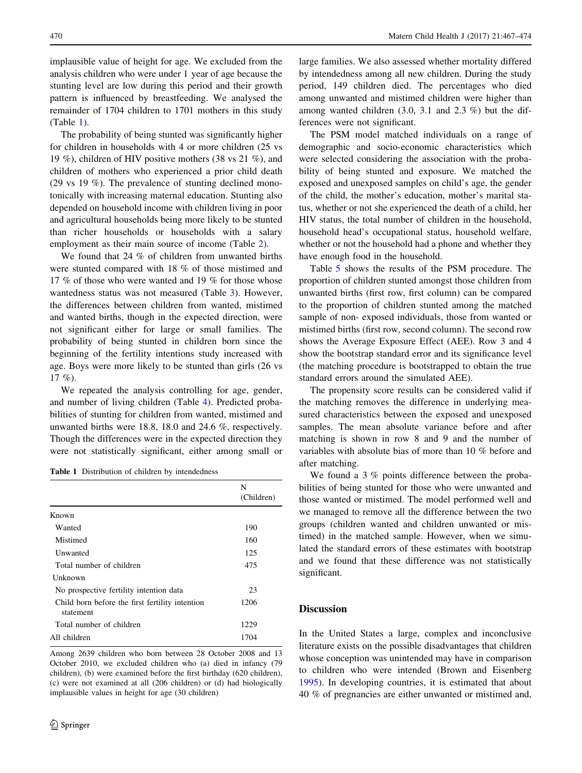implausible value of height for age. We excluded from the analysis children who were under 1 year of age because the stunting level are low during this period and their growth pattern is influenced by breastfeeding. We analysed the remainder of 1704 children to 1701 mothers in this study (Table 1).

The probability of being stunted was significantly higher for children in households with 4 or more children (25 vs 19 %), children of HIV positive mothers (38 vs 21 %), and children of mothers who experienced a prior child death (29 vs 19 %). The prevalence of stunting declined monotonically with increasing maternal education. Stunting also depended on household income with children living in poor and agricultural households being more likely to be stunted than richer households or households with a salary employment as their main source of income (Table [2\)](#page-4-0).

We found that 24 % of children from unwanted births were stunted compared with 18 % of those mistimed and 17 % of those who were wanted and 19 % for those whose wantedness status was not measured (Table [3](#page-5-0)). However, the differences between children from wanted, mistimed and wanted births, though in the expected direction, were not significant either for large or small families. The probability of being stunted in children born since the beginning of the fertility intentions study increased with age. Boys were more likely to be stunted than girls (26 vs 17 %).

We repeated the analysis controlling for age, gender, and number of living children (Table [4](#page-5-0)). Predicted probabilities of stunting for children from wanted, mistimed and unwanted births were 18.8, 18.0 and 24.6 %, respectively. Though the differences were in the expected direction they were not statistically significant, either among small or

Table 1 Distribution of children by intendedness

|                                                              | N<br>(Children) |
|--------------------------------------------------------------|-----------------|
| Known                                                        |                 |
| Wanted                                                       | 190             |
| Mistimed                                                     | 160             |
| Unwanted                                                     | 125             |
| Total number of children                                     | 475             |
| <b>Unknown</b>                                               |                 |
| No prospective fertility intention data                      | 23              |
| Child born before the first fertility intention<br>statement | 1206            |
| Total number of children                                     | 1229            |
| All children                                                 | 1704            |

Among 2639 children who born between 28 October 2008 and 13 October 2010, we excluded children who (a) died in infancy (79 children), (b) were examined before the first birthday (620 children), (c) were not examined at all (206 children) or (d) had biologically implausible values in height for age (30 children)

large families. We also assessed whether mortality differed by intendedness among all new children. During the study period, 149 children died. The percentages who died among unwanted and mistimed children were higher than among wanted children (3.0, 3.1 and 2.3 %) but the differences were not significant.

The PSM model matched individuals on a range of demographic and socio-economic characteristics which were selected considering the association with the probability of being stunted and exposure. We matched the exposed and unexposed samples on child's age, the gender of the child, the mother's education, mother's marital status, whether or not she experienced the death of a child, her HIV status, the total number of children in the household, household head's occupational status, household welfare, whether or not the household had a phone and whether they have enough food in the household.

Table [5](#page-5-0) shows the results of the PSM procedure. The proportion of children stunted amongst those children from unwanted births (first row, first column) can be compared to the proportion of children stunted among the matched sample of non- exposed individuals, those from wanted or mistimed births (first row, second column). The second row shows the Average Exposure Effect (AEE). Row 3 and 4 show the bootstrap standard error and its significance level (the matching procedure is bootstrapped to obtain the true standard errors around the simulated AEE).

The propensity score results can be considered valid if the matching removes the difference in underlying measured characteristics between the exposed and unexposed samples. The mean absolute variance before and after matching is shown in row 8 and 9 and the number of variables with absolute bias of more than 10 % before and after matching.

We found a 3 % points difference between the probabilities of being stunted for those who were unwanted and those wanted or mistimed. The model performed well and we managed to remove all the difference between the two groups (children wanted and children unwanted or mistimed) in the matched sample. However, when we simulated the standard errors of these estimates with bootstrap and we found that these difference was not statistically significant.

## **Discussion**

In the United States a large, complex and inconclusive literature exists on the possible disadvantages that children whose conception was unintended may have in comparison to children who were intended (Brown and Eisenberg [1995](#page-7-0)). In developing countries, it is estimated that about 40 % of pregnancies are either unwanted or mistimed and,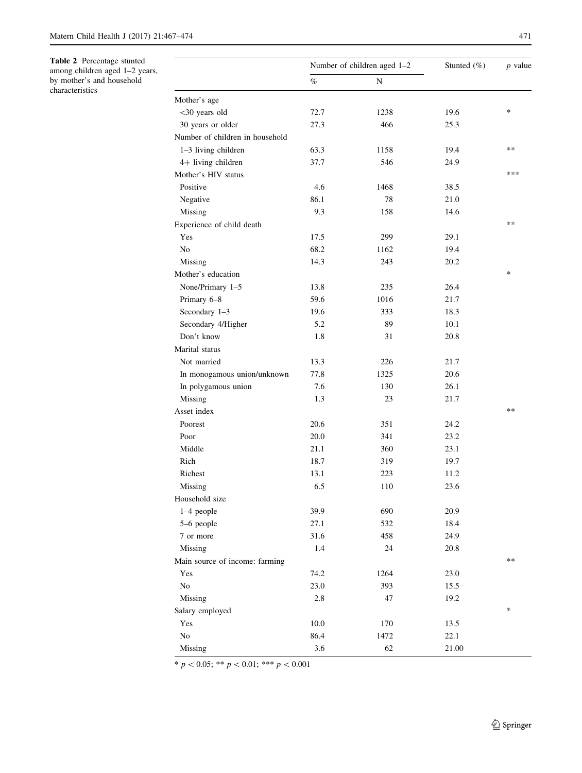<span id="page-4-0"></span>Table 2 Percentage stunted among children aged 1–2 years, by mother's and household

characteristics

|                                 |      | Number of children aged 1-2 | Stunted $(\% )$ | $p$ value |  |
|---------------------------------|------|-----------------------------|-----------------|-----------|--|
|                                 | $\%$ | N                           |                 |           |  |
| Mother's age                    |      |                             |                 |           |  |
| <30 years old                   | 72.7 | 1238                        | 19.6            | $\ast$    |  |
| 30 years or older               | 27.3 | 466                         | 25.3            |           |  |
| Number of children in household |      |                             |                 |           |  |
| 1-3 living children             | 63.3 | 1158                        | 19.4            | **        |  |
| 4+ living children              | 37.7 | 546                         | 24.9            |           |  |
| Mother's HIV status             |      |                             |                 | ***       |  |
| Positive                        | 4.6  | 1468                        | 38.5            |           |  |
| Negative                        | 86.1 | 78                          | 21.0            |           |  |
| Missing                         | 9.3  | 158                         | 14.6            |           |  |
| Experience of child death       |      |                             |                 | **        |  |
| Yes                             | 17.5 | 299                         | 29.1            |           |  |
| No                              | 68.2 | 1162                        | 19.4            |           |  |
| Missing                         | 14.3 | 243                         | 20.2            |           |  |
| Mother's education              |      |                             |                 | ∗         |  |
| None/Primary 1-5                | 13.8 | 235                         | 26.4            |           |  |
| Primary 6-8                     | 59.6 | 1016                        | 21.7            |           |  |
| Secondary 1-3                   | 19.6 | 333                         | 18.3            |           |  |
| Secondary 4/Higher              | 5.2  | 89                          | 10.1            |           |  |
| Don't know                      | 1.8  | 31                          | 20.8            |           |  |
| Marital status                  |      |                             |                 |           |  |
| Not married                     | 13.3 | 226                         | 21.7            |           |  |
| In monogamous union/unknown     | 77.8 | 1325                        | 20.6            |           |  |
| In polygamous union             | 7.6  | 130                         | 26.1            |           |  |
| Missing                         | 1.3  | 23                          | 21.7            |           |  |
| Asset index                     |      |                             |                 | **        |  |
| Poorest                         | 20.6 | 351                         | 24.2            |           |  |
| Poor                            | 20.0 | 341                         | 23.2            |           |  |
| Middle                          | 21.1 |                             | 23.1            |           |  |
|                                 |      | 360                         |                 |           |  |
| Rich                            | 18.7 | 319                         | 19.7            |           |  |
| Richest                         | 13.1 | 223                         | 11.2            |           |  |
| Missing                         | 6.5  | 110                         | 23.6            |           |  |
| Household size                  |      |                             |                 |           |  |
| 1-4 people                      | 39.9 | 690                         | 20.9            |           |  |
| 5-6 people                      | 27.1 | 532                         | 18.4            |           |  |
| 7 or more                       | 31.6 | 458                         | 24.9            |           |  |
| Missing                         | 1.4  | 24                          | 20.8            | **        |  |
| Main source of income: farming  |      |                             |                 |           |  |
| Yes                             | 74.2 | 1264                        | 23.0            |           |  |
| No                              | 23.0 | 393                         | 15.5            |           |  |
| Missing                         | 2.8  | 47                          | 19.2            |           |  |
| Salary employed                 |      |                             |                 | *         |  |
| Yes                             | 10.0 | 170                         | 13.5            |           |  |
| $\rm No$                        | 86.4 | 1472                        | 22.1            |           |  |
| Missing                         | 3.6  | 62                          | 21.00           |           |  |

\*  $p < 0.05$ ; \*\*  $p < 0.01$ ; \*\*\*  $p < 0.001$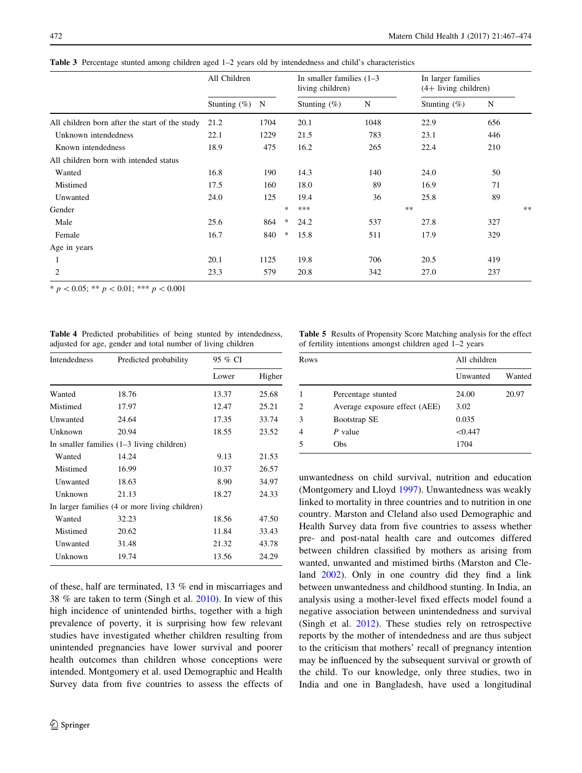<span id="page-5-0"></span>

|  |  |  |  |  | Table 3 Percentage stunted among children aged 1–2 years old by intendedness and child's characteristics |
|--|--|--|--|--|----------------------------------------------------------------------------------------------------------|
|--|--|--|--|--|----------------------------------------------------------------------------------------------------------|

|                                                | All Children    |      |        | In smaller families $(1-3)$<br>living children) |      | In larger families<br>$(4+$ living children) |     |      |
|------------------------------------------------|-----------------|------|--------|-------------------------------------------------|------|----------------------------------------------|-----|------|
|                                                | Stunting $(\%)$ | N    |        | Stunting $(\%)$                                 | N    | Stunting $(\%)$                              | N   |      |
| All children born after the start of the study | 21.2            | 1704 |        | 20.1                                            | 1048 | 22.9                                         | 656 |      |
| Unknown intendedness                           | 22.1            | 1229 |        | 21.5                                            | 783  | 23.1                                         | 446 |      |
| Known intendedness                             | 18.9            | 475  |        | 16.2                                            | 265  | 22.4                                         | 210 |      |
| All children born with intended status         |                 |      |        |                                                 |      |                                              |     |      |
| Wanted                                         | 16.8            | 190  |        | 14.3                                            | 140  | 24.0                                         | 50  |      |
| Mistimed                                       | 17.5            | 160  |        | 18.0                                            | 89   | 16.9                                         | 71  |      |
| Unwanted                                       | 24.0            | 125  |        | 19.4                                            | 36   | 25.8                                         | 89  |      |
| Gender                                         |                 |      | $\ast$ | ***                                             |      | $**$                                         |     | $**$ |
| Male                                           | 25.6            | 864  | *      | 24.2                                            | 537  | 27.8                                         | 327 |      |
| Female                                         | 16.7            | 840  | *      | 15.8                                            | 511  | 17.9                                         | 329 |      |
| Age in years                                   |                 |      |        |                                                 |      |                                              |     |      |
| 1                                              | 20.1            | 1125 |        | 19.8                                            | 706  | 20.5                                         | 419 |      |
| 2                                              | 23.3            | 579  |        | 20.8                                            | 342  | 27.0                                         | 237 |      |
|                                                |                 |      |        |                                                 |      |                                              |     |      |

\*  $p < 0.05$ ; \*\*  $p < 0.01$ ; \*\*\*  $p < 0.001$ 

|  | <b>Table 4</b> Predicted probabilities of being stunted by intendedness, |  |  |
|--|--------------------------------------------------------------------------|--|--|
|  | adjusted for age, gender and total number of living children             |  |  |

| <b>Table 5</b> Results of Propensity Score Matching analysis for the effect |  |  |  |
|-----------------------------------------------------------------------------|--|--|--|
| of fertility intentions amongst children aged 1–2 years                     |  |  |  |

| Intendedness | Predicted probability                          | 95 % CI |        |  |  |
|--------------|------------------------------------------------|---------|--------|--|--|
|              |                                                | Lower   | Higher |  |  |
| Wanted       | 18.76                                          | 13.37   | 25.68  |  |  |
| Mistimed     | 17.97                                          | 12.47   | 25.21  |  |  |
| Unwanted     | 24.64                                          | 17.35   | 33.74  |  |  |
| Unknown      | 20.94                                          | 18.55   | 23.52  |  |  |
|              | In smaller families $(1-3)$ living children)   |         |        |  |  |
| Wanted       | 14.24                                          | 9.13    | 21.53  |  |  |
| Mistimed     | 16.99                                          | 10.37   | 26.57  |  |  |
| Unwanted     | 18.63                                          | 8.90    | 34.97  |  |  |
| Unknown      | 21.13                                          | 18.27   | 24.33  |  |  |
|              | In larger families (4 or more living children) |         |        |  |  |
| Wanted       | 32.23                                          | 18.56   | 47.50  |  |  |
| Mistimed     | 20.62                                          | 11.84   | 33.43  |  |  |
| Unwanted     | 31.48                                          | 21.32   | 43.78  |  |  |
| Unknown      | 19.74                                          | 13.56   | 24.29  |  |  |

of these, half are terminated, 13 % end in miscarriages and 38 % are taken to term (Singh et al. [2010\)](#page-7-0). In view of this high incidence of unintended births, together with a high prevalence of poverty, it is surprising how few relevant studies have investigated whether children resulting from unintended pregnancies have lower survival and poorer health outcomes than children whose conceptions were intended. Montgomery et al. used Demographic and Health Survey data from five countries to assess the effects of Rows All children Unwanted Wanted 1 Percentage stunted 24.00 20.97 2 Average exposure effect (AEE) 3.02

3 Bootstrap SE 0.035 4 P value  $\leq 0.447$ 5 Obs 1704

unwantedness on child survival, nutrition and education (Montgomery and Lloyd [1997\)](#page-7-0). Unwantedness was weakly linked to mortality in three countries and to nutrition in one country. Marston and Cleland also used Demographic and Health Survey data from five countries to assess whether pre- and post-natal health care and outcomes differed between children classified by mothers as arising from wanted, unwanted and mistimed births (Marston and Cleland [2002](#page-7-0)). Only in one country did they find a link between unwantedness and childhood stunting. In India, an analysis using a mother-level fixed effects model found a negative association between unintendedness and survival (Singh et al. [2012\)](#page-7-0). These studies rely on retrospective reports by the mother of intendedness and are thus subject to the criticism that mothers' recall of pregnancy intention may be influenced by the subsequent survival or growth of the child. To our knowledge, only three studies, two in India and one in Bangladesh, have used a longitudinal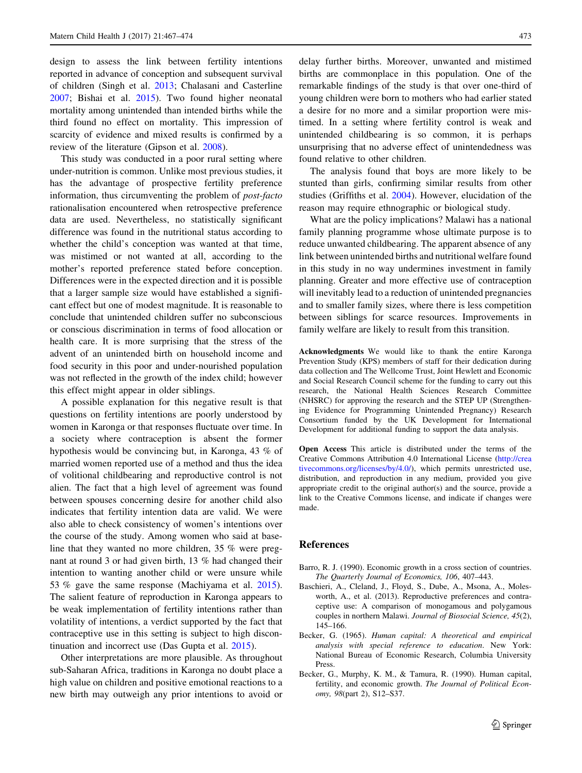<span id="page-6-0"></span>design to assess the link between fertility intentions reported in advance of conception and subsequent survival of children (Singh et al. [2013](#page-7-0); Chalasani and Casterline [2007;](#page-7-0) Bishai et al. [2015](#page-7-0)). Two found higher neonatal mortality among unintended than intended births while the third found no effect on mortality. This impression of scarcity of evidence and mixed results is confirmed by a review of the literature (Gipson et al. [2008\)](#page-7-0).

This study was conducted in a poor rural setting where under-nutrition is common. Unlike most previous studies, it has the advantage of prospective fertility preference information, thus circumventing the problem of post-facto rationalisation encountered when retrospective preference data are used. Nevertheless, no statistically significant difference was found in the nutritional status according to whether the child's conception was wanted at that time, was mistimed or not wanted at all, according to the mother's reported preference stated before conception. Differences were in the expected direction and it is possible that a larger sample size would have established a significant effect but one of modest magnitude. It is reasonable to conclude that unintended children suffer no subconscious or conscious discrimination in terms of food allocation or health care. It is more surprising that the stress of the advent of an unintended birth on household income and food security in this poor and under-nourished population was not reflected in the growth of the index child; however this effect might appear in older siblings.

A possible explanation for this negative result is that questions on fertility intentions are poorly understood by women in Karonga or that responses fluctuate over time. In a society where contraception is absent the former hypothesis would be convincing but, in Karonga, 43 % of married women reported use of a method and thus the idea of volitional childbearing and reproductive control is not alien. The fact that a high level of agreement was found between spouses concerning desire for another child also indicates that fertility intention data are valid. We were also able to check consistency of women's intentions over the course of the study. Among women who said at baseline that they wanted no more children, 35 % were pregnant at round 3 or had given birth, 13 % had changed their intention to wanting another child or were unsure while 53 % gave the same response (Machiyama et al. [2015](#page-7-0)). The salient feature of reproduction in Karonga appears to be weak implementation of fertility intentions rather than volatility of intentions, a verdict supported by the fact that contraceptive use in this setting is subject to high discontinuation and incorrect use (Das Gupta et al. [2015\)](#page-7-0).

Other interpretations are more plausible. As throughout sub-Saharan Africa, traditions in Karonga no doubt place a high value on children and positive emotional reactions to a new birth may outweigh any prior intentions to avoid or delay further births. Moreover, unwanted and mistimed births are commonplace in this population. One of the remarkable findings of the study is that over one-third of young children were born to mothers who had earlier stated a desire for no more and a similar proportion were mistimed. In a setting where fertility control is weak and unintended childbearing is so common, it is perhaps unsurprising that no adverse effect of unintendedness was found relative to other children.

The analysis found that boys are more likely to be stunted than girls, confirming similar results from other studies (Griffiths et al. [2004](#page-7-0)). However, elucidation of the reason may require ethnographic or biological study.

What are the policy implications? Malawi has a national family planning programme whose ultimate purpose is to reduce unwanted childbearing. The apparent absence of any link between unintended births and nutritional welfare found in this study in no way undermines investment in family planning. Greater and more effective use of contraception will inevitably lead to a reduction of unintended pregnancies and to smaller family sizes, where there is less competition between siblings for scarce resources. Improvements in family welfare are likely to result from this transition.

Acknowledgments We would like to thank the entire Karonga Prevention Study (KPS) members of staff for their dedication during data collection and The Wellcome Trust, Joint Hewlett and Economic and Social Research Council scheme for the funding to carry out this research, the National Health Sciences Research Committee (NHSRC) for approving the research and the STEP UP (Strengthening Evidence for Programming Unintended Pregnancy) Research Consortium funded by the UK Development for International Development for additional funding to support the data analysis.

Open Access This article is distributed under the terms of the Creative Commons Attribution 4.0 International License ([http://crea](http://creativecommons.org/licenses/by/4.0/) [tivecommons.org/licenses/by/4.0/\)](http://creativecommons.org/licenses/by/4.0/), which permits unrestricted use, distribution, and reproduction in any medium, provided you give appropriate credit to the original author(s) and the source, provide a link to the Creative Commons license, and indicate if changes were made.

#### References

- Barro, R. J. (1990). Economic growth in a cross section of countries. The Quarterly Journal of Economics, 106, 407–443.
- Baschieri, A., Cleland, J., Floyd, S., Dube, A., Msona, A., Molesworth, A., et al. (2013). Reproductive preferences and contraceptive use: A comparison of monogamous and polygamous couples in northern Malawi. Journal of Biosocial Science, 45(2), 145–166.
- Becker, G. (1965). Human capital: A theoretical and empirical analysis with special reference to education. New York: National Bureau of Economic Research, Columbia University Press.
- Becker, G., Murphy, K. M., & Tamura, R. (1990). Human capital, fertility, and economic growth. The Journal of Political Economy, 98(part 2), S12–S37.